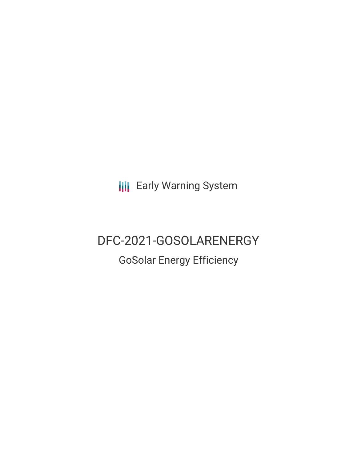**III** Early Warning System

# DFC-2021-GOSOLARENERGY

## GoSolar Energy Efficiency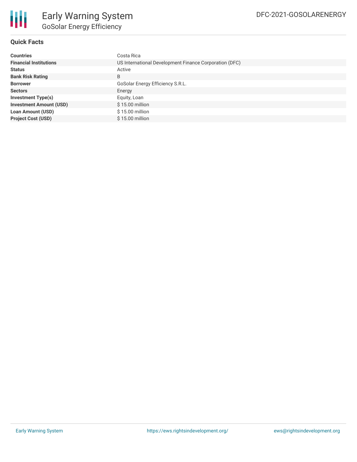

#### **Quick Facts**

| <b>Countries</b>               | Costa Rica                                             |  |  |  |
|--------------------------------|--------------------------------------------------------|--|--|--|
| <b>Financial Institutions</b>  | US International Development Finance Corporation (DFC) |  |  |  |
| <b>Status</b>                  | Active                                                 |  |  |  |
| <b>Bank Risk Rating</b>        | B                                                      |  |  |  |
| <b>Borrower</b>                | GoSolar Energy Efficiency S.R.L.                       |  |  |  |
| <b>Sectors</b>                 | Energy                                                 |  |  |  |
| <b>Investment Type(s)</b>      | Equity, Loan                                           |  |  |  |
| <b>Investment Amount (USD)</b> | $$15.00$ million                                       |  |  |  |
| <b>Loan Amount (USD)</b>       | \$15.00 million                                        |  |  |  |
| <b>Project Cost (USD)</b>      | \$15,00 million                                        |  |  |  |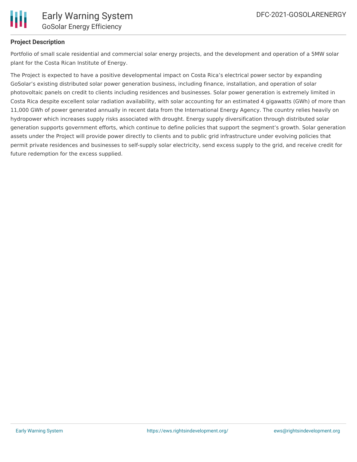

#### **Project Description**

Portfolio of small scale residential and commercial solar energy projects, and the development and operation of a 5MW solar plant for the Costa Rican Institute of Energy.

The Project is expected to have a positive developmental impact on Costa Rica's electrical power sector by expanding GoSolar's existing distributed solar power generation business, including finance, installation, and operation of solar photovoltaic panels on credit to clients including residences and businesses. Solar power generation is extremely limited in Costa Rica despite excellent solar radiation availability, with solar accounting for an estimated 4 gigawatts (GWh) of more than 11,000 GWh of power generated annually in recent data from the International Energy Agency. The country relies heavily on hydropower which increases supply risks associated with drought. Energy supply diversification through distributed solar generation supports government efforts, which continue to define policies that support the segment's growth. Solar generation assets under the Project will provide power directly to clients and to public grid infrastructure under evolving policies that permit private residences and businesses to self-supply solar electricity, send excess supply to the grid, and receive credit for future redemption for the excess supplied.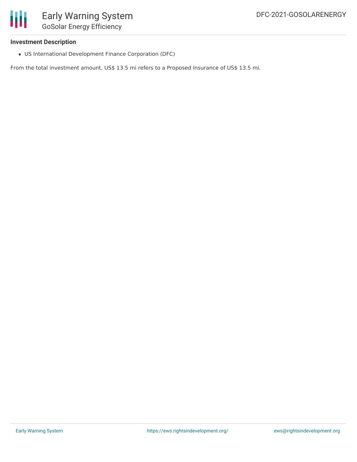#### **Investment Description**

US International Development Finance Corporation (DFC)

From the total investment amount, US\$ 13.5 mi refers to a Proposed Insurance of US\$ 13.5 mi.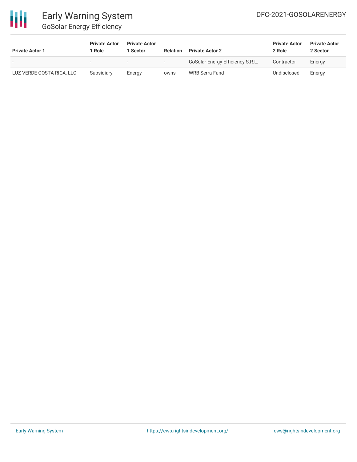

### Early Warning System GoSolar Energy Efficiency

| <b>Private Actor 1</b>    | <b>Private Actor</b><br>l Role | <b>Private Actor</b><br>Sector | <b>Relation</b>          | <b>Private Actor 2</b>           | <b>Private Actor</b><br>2 Role | <b>Private Actor</b><br>2 Sector |
|---------------------------|--------------------------------|--------------------------------|--------------------------|----------------------------------|--------------------------------|----------------------------------|
| $\overline{\phantom{0}}$  |                                | $\overline{\phantom{0}}$       | $\overline{\phantom{a}}$ | GoSolar Energy Efficiency S.R.L. | Contractor                     | Energy                           |
| LUZ VERDE COSTA RICA, LLC | Subsidiary                     | Energy                         | owns                     | WRB Serra Fund                   | Undisclosed                    | Energy                           |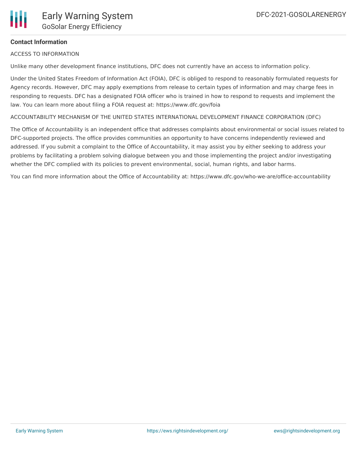

#### **Contact Information**

ACCESS TO INFORMATION

Unlike many other development finance institutions, DFC does not currently have an access to information policy.

Under the United States Freedom of Information Act (FOIA), DFC is obliged to respond to reasonably formulated requests for Agency records. However, DFC may apply exemptions from release to certain types of information and may charge fees in responding to requests. DFC has a designated FOIA officer who is trained in how to respond to requests and implement the law. You can learn more about filing a FOIA request at: https://www.dfc.gov/foia

ACCOUNTABILITY MECHANISM OF THE UNITED STATES INTERNATIONAL DEVELOPMENT FINANCE CORPORATION (DFC)

The Office of Accountability is an independent office that addresses complaints about environmental or social issues related to DFC-supported projects. The office provides communities an opportunity to have concerns independently reviewed and addressed. If you submit a complaint to the Office of Accountability, it may assist you by either seeking to address your problems by facilitating a problem solving dialogue between you and those implementing the project and/or investigating whether the DFC complied with its policies to prevent environmental, social, human rights, and labor harms.

You can find more information about the Office of Accountability at: https://www.dfc.gov/who-we-are/office-accountability